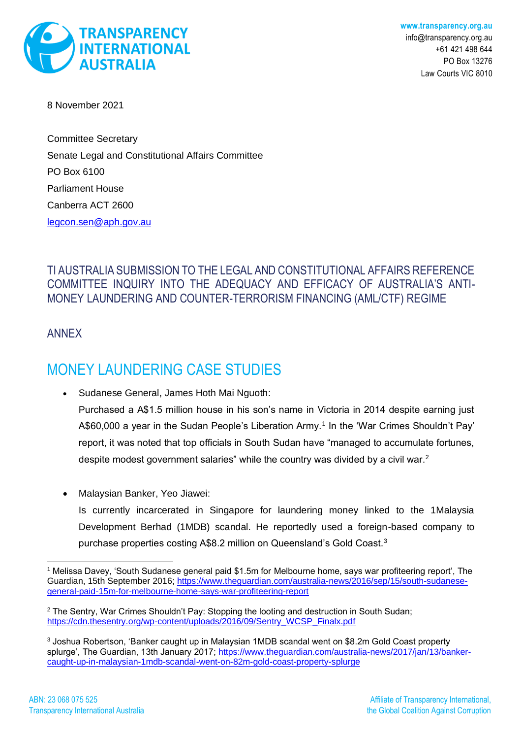

8 November 2021

Committee Secretary Senate Legal and Constitutional Affairs Committee PO Box 6100 Parliament House Canberra ACT 2600 [legcon.sen@aph.gov.au](mailto:legcon.sen@aph.gov.au)

## TI AUSTRALIA SUBMISSION TO THE LEGAL AND CONSTITUTIONAL AFFAIRS REFERENCE COMMITTEE INQUIRY INTO THE ADEQUACY AND EFFICACY OF AUSTRALIA'S ANTI-MONEY LAUNDERING AND COUNTER-TERRORISM FINANCING (AML/CTF) REGIME

ANNEX

## MONEY LAUNDERING CASE STUDIES

• Sudanese General, James Hoth Mai Nguoth: Purchased a A\$1.5 million house in his son's name in Victoria in 2014 despite earning just A\$60,000 a year in the Sudan People's Liberation Army.<sup>1</sup> In the 'War Crimes Shouldn't Pay' report, it was noted that top officials in South Sudan have "managed to accumulate fortunes, despite modest government salaries" while the country was divided by a civil war.<sup>2</sup>

• Malaysian Banker, Yeo Jiawei:

Is currently incarcerated in Singapore for laundering money linked to the 1Malaysia Development Berhad (1MDB) scandal. He reportedly used a foreign-based company to purchase properties costing A\$8.2 million on Queensland's Gold Coast.<sup>3</sup>

<sup>1</sup> Melissa Davey, 'South Sudanese general paid \$1.5m for Melbourne home, says war profiteering report', The Guardian, 15th September 2016; [https://www.theguardian.com/australia-news/2016/sep/15/south-sudanese](https://www.theguardian.com/australia-news/2016/sep/15/south-sudanese-general-paid-15m-for-melbourne-home-says-war-profiteering-report)[general-paid-15m-for-melbourne-home-says-war-profiteering-report](https://www.theguardian.com/australia-news/2016/sep/15/south-sudanese-general-paid-15m-for-melbourne-home-says-war-profiteering-report)

<sup>&</sup>lt;sup>2</sup> The Sentry, War Crimes Shouldn't Pay: Stopping the looting and destruction in South Sudan; [https://cdn.thesentry.org/wp-content/uploads/2016/09/Sentry\\_WCSP\\_Finalx.pdf](https://cdn.thesentry.org/wp-content/uploads/2016/09/Sentry_WCSP_Finalx.pdf)

<sup>&</sup>lt;sup>3</sup> Joshua Robertson, 'Banker caught up in Malaysian 1MDB scandal went on \$8.2m Gold Coast property splurge', The Guardian, 13th January 2017; [https://www.theguardian.com/australia-news/2017/jan/13/banker](https://www.theguardian.com/australia-news/2017/jan/13/banker-caught-up-in-malaysian-1mdb-scandal-went-on-82m-gold-coast-property-splurge)[caught-up-in-malaysian-1mdb-scandal-went-on-82m-gold-coast-property-splurge](https://www.theguardian.com/australia-news/2017/jan/13/banker-caught-up-in-malaysian-1mdb-scandal-went-on-82m-gold-coast-property-splurge)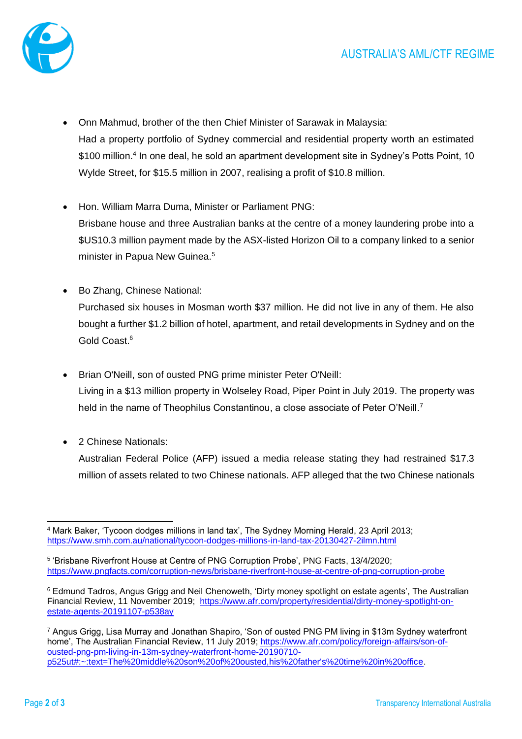

- Onn Mahmud, brother of the then Chief Minister of Sarawak in Malaysia: Had a property portfolio of Sydney commercial and residential property worth an estimated \$100 million.<sup>4</sup> In one deal, he sold an apartment development site in Sydney's Potts Point, 10 Wylde Street, for \$15.5 million in 2007, realising a profit of \$10.8 million.
- Hon. William Marra Duma, Minister or Parliament PNG: Brisbane house and three Australian banks at the centre of a money laundering probe into a \$US10.3 million payment made by the ASX-listed Horizon Oil to a company linked to a senior minister in Papua New Guinea.<sup>5</sup>
- Bo Zhang, Chinese National: Purchased six houses in Mosman worth \$37 million. He did not live in any of them. He also bought a further \$1.2 billion of hotel, apartment, and retail developments in Sydney and on the Gold Coast.<sup>6</sup>
- Brian O'Neill, son of ousted PNG prime minister Peter O'Neill: Living in a \$13 million property in Wolseley Road, Piper Point in July 2019. The property was held in the name of Theophilus Constantinou, a close associate of Peter O'Neill.<sup>7</sup>
- 2 Chinese Nationals:

Australian Federal Police (AFP) issued a media release stating they had restrained \$17.3 million of assets related to two Chinese nationals. AFP alleged that the two Chinese nationals

<sup>4</sup> Mark Baker, 'Tycoon dodges millions in land tax', The Sydney Morning Herald, 23 April 2013; <https://www.smh.com.au/national/tycoon-dodges-millions-in-land-tax-20130427-2ilmn.html>

<sup>&</sup>lt;sup>5</sup> 'Brisbane Riverfront House at Centre of PNG Corruption Probe', PNG Facts, 13/4/2020; <https://www.pngfacts.com/corruption-news/brisbane-riverfront-house-at-centre-of-png-corruption-probe>

<sup>6</sup> Edmund Tadros, Angus Grigg and Neil Chenoweth, 'Dirty money spotlight on estate agents', The Australian Financial Review, 11 November 2019; [https://www.afr.com/property/residential/dirty-money-spotlight-on](https://www.afr.com/property/residential/dirty-money-spotlight-on-estate-agents-20191107-p538ay)[estate-agents-20191107-p538ay](https://www.afr.com/property/residential/dirty-money-spotlight-on-estate-agents-20191107-p538ay)

<sup>7</sup> Angus Grigg, Lisa Murray and Jonathan Shapiro, 'Son of ousted PNG PM living in \$13m Sydney waterfront home', The Australian Financial Review, 11 July 2019; [https://www.afr.com/policy/foreign-affairs/son-of](https://www.afr.com/policy/foreign-affairs/son-of-ousted-png-pm-living-in-13m-sydney-waterfront-home-20190710-p525ut#:~:text=The%20middle%20son%20of%20ousted,his%20father)[ousted-png-pm-living-in-13m-sydney-waterfront-home-20190710](https://www.afr.com/policy/foreign-affairs/son-of-ousted-png-pm-living-in-13m-sydney-waterfront-home-20190710-p525ut#:~:text=The%20middle%20son%20of%20ousted,his%20father) [p525ut#:~:text=The%20middle%20son%20of%20ousted,his%20father's%20time%20in%20office.](https://www.afr.com/policy/foreign-affairs/son-of-ousted-png-pm-living-in-13m-sydney-waterfront-home-20190710-p525ut#:~:text=The%20middle%20son%20of%20ousted,his%20father)